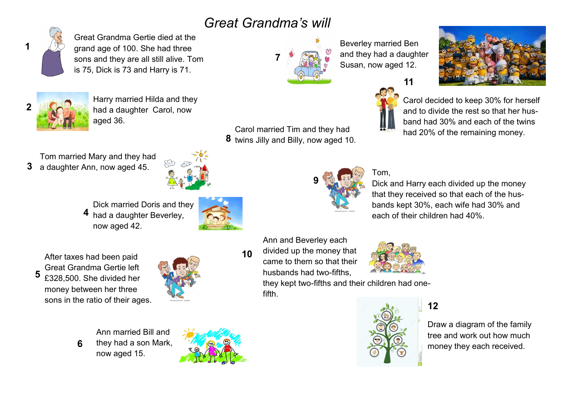## *Great Grandma's will*



Great Grandma Gertie died at the grand age of 100. She had three sons and they are all still alive. Tom is 75, Dick is 73 and Harry is 71.



Harry married Hilda and they had a daughter Carol, now aged 36.

Tom married Mary and they had **3** a daughter Ann, now aged 45.



Dick married Doris and they 4 had a daughter Beverley, now aged 42.

After taxes had been paid Great Grandma Gertie left £328,500. She divided her money between her three sons in the ratio of their ages. **5**

**6**



Ann married Bill and they had a son Mark, now aged 15.





Carol married Tim and they had **8** twins Jilly and Billy, now aged 10.

Beverley married Ben and they had a daughter Susan, now aged 12.

**11**



Carol decided to keep 30% for herself and to divide the rest so that her husband had 30% and each of the twins had 20% of the remaining money.



## Tom,

Dick and Harry each divided up the money that they received so that each of the husbands kept 30%, each wife had 30% and each of their children had 40%.

Ann and Beverley each divided up the money that came to them so that their husbands had two-fifths, **10**



they kept two-fifths and their children had onefifth.



**12**

Draw a diagram of the family tree and work out how much money they each received.